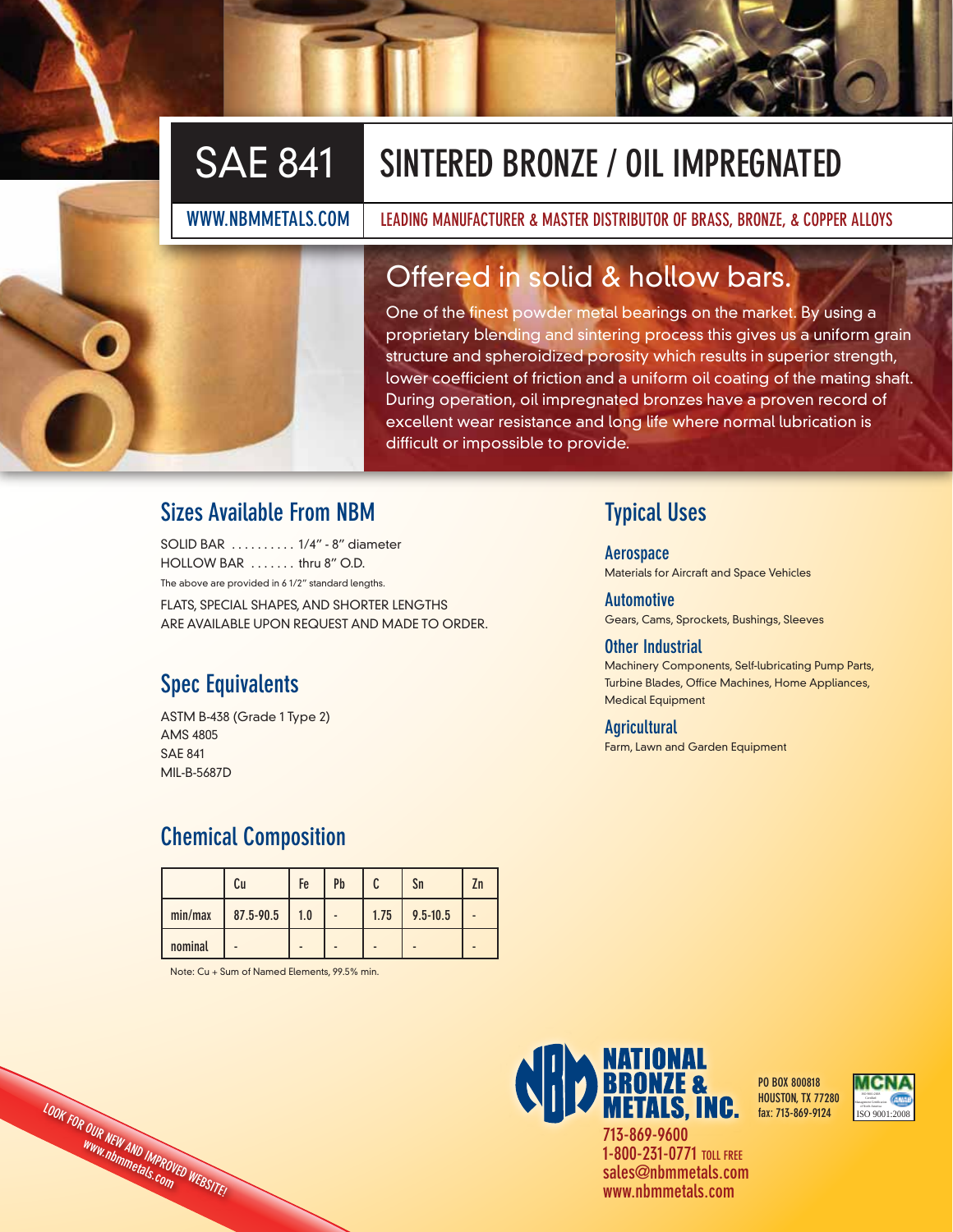# SAE 841 **SINTERED BRONZE / OIL IMPREGNATED**

**WWW.NBMMETALS.COM LEADING MANUFACTURER & MASTER DISTRIBUTOR OF BRASS, BRONZE, & COPPER ALLOYS**

# Offered in solid & hollow bars.

One of the finest powder metal bearings on the market. By using a proprietary blending and sintering process this gives us a uniform grain structure and spheroidized porosity which results in superior strength, lower coefficient of friction and a uniform oil coating of the mating shaft. During operation, oil impregnated bronzes have a proven record of excellent wear resistance and long life where normal lubrication is difficult or impossible to provide.

## **Sizes Available From NBM**

SOLID BAR . . . . . . . . . . 1/4" - 8" diameter HOLLOW BAR . . . . . . . thru 8" O.D. The above are provided in 6 1/2" standard lengths. FLATS, SPECIAL SHAPES, AND SHORTER LENGTHS ARE AVAILABLE UPON REQUEST AND MADE TO ORDER.

# **Spec Equivalents**

ASTM B-438 (Grade 1 Type 2) AMS 4805 SAE 841 MIL-B-5687D

# **Chemical Composition**

|         | Cu        | Fe  | Pb |      | Sn           | Zn |
|---------|-----------|-----|----|------|--------------|----|
| min/max | 87.5-90.5 | 1.0 |    | 1.75 | $9.5 - 10.5$ |    |
| nominal |           |     |    |      |              |    |

Note: Cu + Sum of Named Elements, 99.5% min.

**LOOK FOR OUR NEW AND IMPROVED WEBSITE! www.nbmmetals.com**

# **Typical Uses**

**Aerospace** Materials for Aircraft and Space Vehicles

**Automotive** Gears, Cams, Sprockets, Bushings, Sleeves

### **Other Industrial**

Machinery Components, Self-lubricating Pump Parts, Turbine Blades, Office Machines, Home Appliances, Medical Equipment

### **Agricultural**

Farm, Lawn and Garden Equipment



**sales@nbmmetals.com www.nbmmetals.com**

**PO BOX 800818 HOUSTON, TX 77280 fax: 713-869-9124**